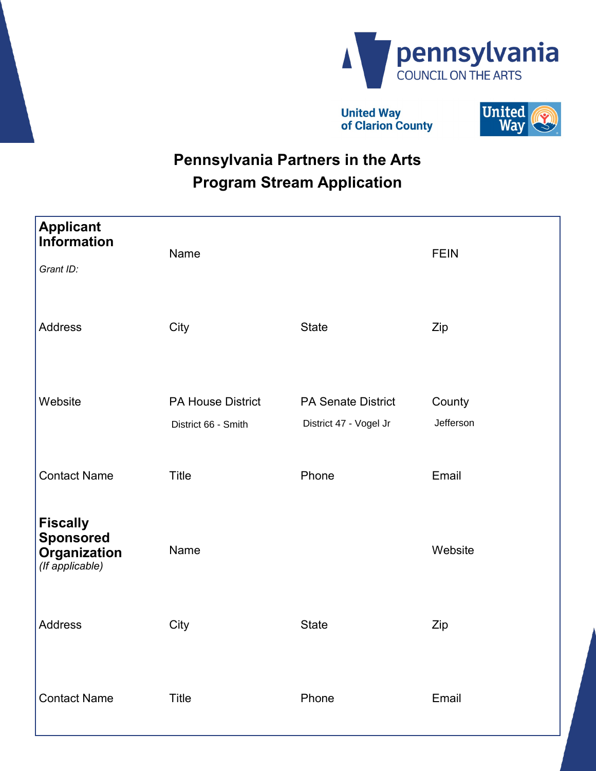

**United Way** of Clarion County



# **Pennsylvania Partners in the Arts Program Stream Application**

| <b>Applicant</b><br><b>Information</b><br>Grant ID:                    | Name                                            |                                                     | <b>FEIN</b>         |
|------------------------------------------------------------------------|-------------------------------------------------|-----------------------------------------------------|---------------------|
| <b>Address</b>                                                         | City                                            | <b>State</b>                                        | Zip                 |
| Website                                                                | <b>PA House District</b><br>District 66 - Smith | <b>PA Senate District</b><br>District 47 - Vogel Jr | County<br>Jefferson |
| <b>Contact Name</b>                                                    | <b>Title</b>                                    | Phone                                               | Email               |
| <b>Fiscally</b><br><b>Sponsored</b><br>Organization<br>(If applicable) | Name                                            |                                                     | Website             |
| <b>Address</b>                                                         | City                                            | <b>State</b>                                        | Zip                 |
| <b>Contact Name</b>                                                    | Title                                           | Phone                                               | Email               |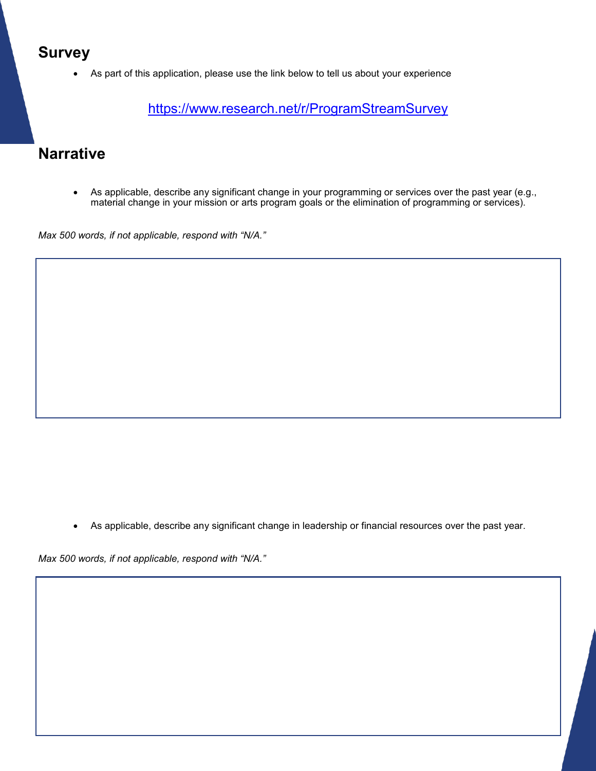#### **Survey**

As part of this application, please use the link below to tell us about your experience

<https://www.research.net/r/ProgramStreamSurvey>

#### **Narrative**

 As applicable, describe any significant change in your programming or services over the past year (e.g., material change in your mission or arts program goals or the elimination of programming or services).

*Max 500 words, if not applicable, respond with "N/A."*

As applicable, describe any significant change in leadership or financial resources over the past year.

*Max 500 words, if not applicable, respond with "N/A."*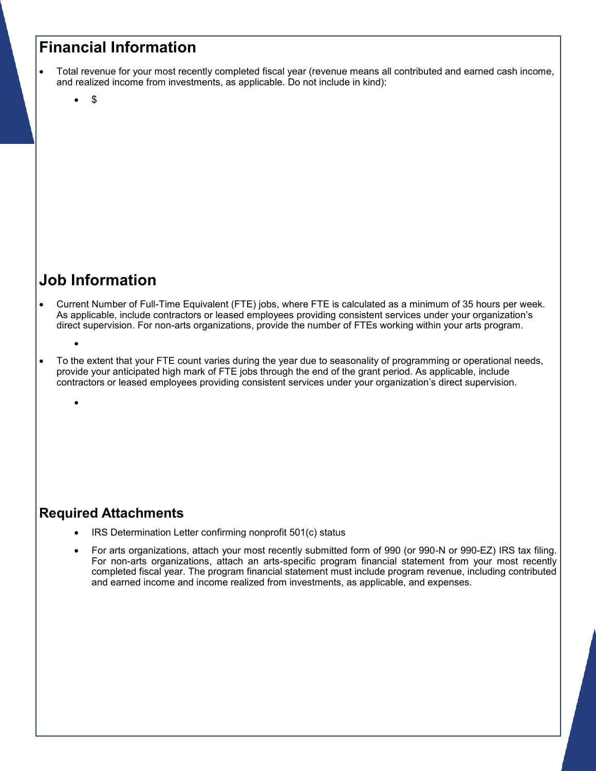#### **Financial Information**

- Total revenue for your most recently completed fiscal year (revenue means all contributed and earned cash income, and realized income from investments, as applicable. Do not include in kind):
	- \$

### **Job Information**

 $\bullet$ 

 $\bullet$ 

- Current Number of Full-Time Equivalent (FTE) jobs, where FTE is calculated as a minimum of 35 hours per week. As applicable, include contractors or leased employees providing consistent services under your organization's direct supervision. For non-arts organizations, provide the number of FTEs working within your arts program.
- To the extent that your FTE count varies during the year due to seasonality of programming or operational needs, provide your anticipated high mark of FTE jobs through the end of the grant period. As applicable, include contractors or leased employees providing consistent services under your organization's direct supervision.

#### **Required Attachments**

- IRS Determination Letter confirming nonprofit 501(c) status
- For arts organizations, attach your most recently submitted form of 990 (or 990-N or 990-EZ) IRS tax filing. For non-arts organizations, attach an arts-specific program financial statement from your most recently completed fiscal year. The program financial statement must include program revenue, including contributed and earned income and income realized from investments, as applicable, and expenses.